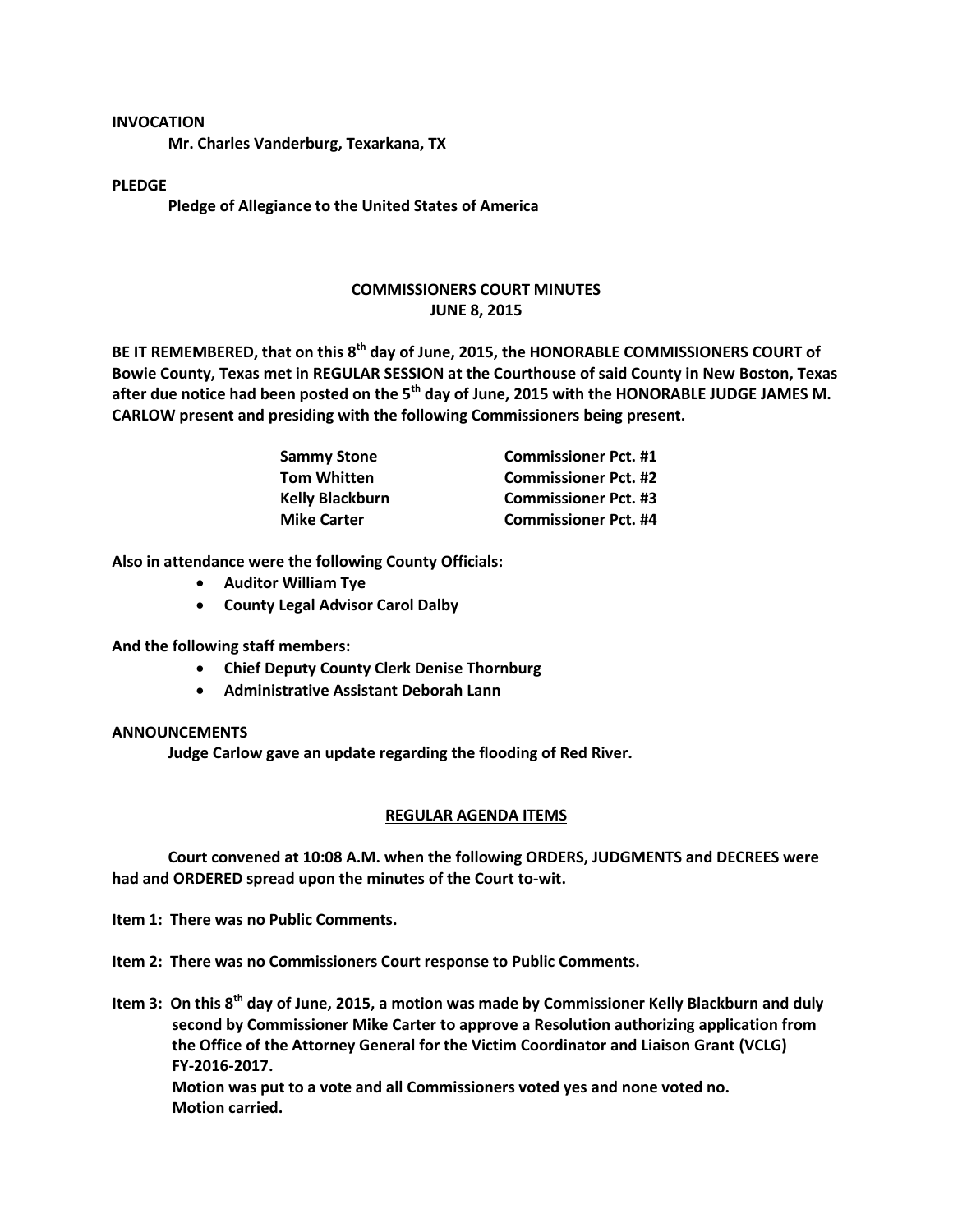#### **INVOCATION**

**Mr. Charles Vanderburg, Texarkana, TX**

## **PLEDGE**

**Pledge of Allegiance to the United States of America**

# **COMMISSIONERS COURT MINUTES JUNE 8, 2015**

**BE IT REMEMBERED, that on this 8th day of June, 2015, the HONORABLE COMMISSIONERS COURT of Bowie County, Texas met in REGULAR SESSION at the Courthouse of said County in New Boston, Texas after due notice had been posted on the 5th day of June, 2015 with the HONORABLE JUDGE JAMES M. CARLOW present and presiding with the following Commissioners being present.**

| <b>Sammy Stone</b>     | <b>Commissioner Pct. #1</b> |
|------------------------|-----------------------------|
| <b>Tom Whitten</b>     | <b>Commissioner Pct. #2</b> |
| <b>Kelly Blackburn</b> | <b>Commissioner Pct. #3</b> |
| <b>Mike Carter</b>     | <b>Commissioner Pct. #4</b> |

**Also in attendance were the following County Officials:**

- **Auditor William Tye**
- **County Legal Advisor Carol Dalby**

**And the following staff members:**

- **Chief Deputy County Clerk Denise Thornburg**
- **Administrative Assistant Deborah Lann**

### **ANNOUNCEMENTS**

**Judge Carlow gave an update regarding the flooding of Red River.**

### **REGULAR AGENDA ITEMS**

**Court convened at 10:08 A.M. when the following ORDERS, JUDGMENTS and DECREES were had and ORDERED spread upon the minutes of the Court to-wit.**

**Item 1: There was no Public Comments.**

**Item 2: There was no Commissioners Court response to Public Comments.**

**Item 3: On this 8th day of June, 2015, a motion was made by Commissioner Kelly Blackburn and duly second by Commissioner Mike Carter to approve a Resolution authorizing application from the Office of the Attorney General for the Victim Coordinator and Liaison Grant (VCLG) FY-2016-2017.**

**Motion was put to a vote and all Commissioners voted yes and none voted no. Motion carried.**